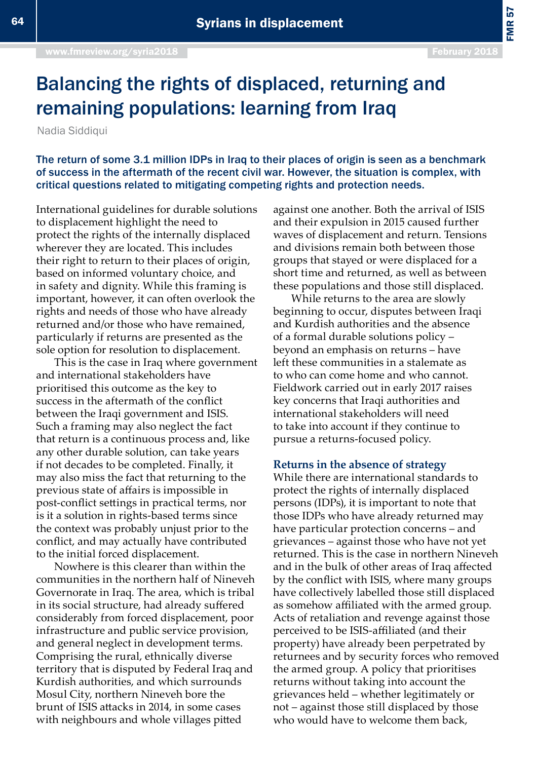FMR 57

## Balancing the rights of displaced, returning and remaining populations: learning from Iraq

Nadia Siddiqui

The return of some 3.1 million IDPs in Iraq to their places of origin is seen as a benchmark of success in the aftermath of the recent civil war. However, the situation is complex, with critical questions related to mitigating competing rights and protection needs.

International guidelines for durable solutions to displacement highlight the need to protect the rights of the internally displaced wherever they are located. This includes their right to return to their places of origin, based on informed voluntary choice, and in safety and dignity. While this framing is important, however, it can often overlook the rights and needs of those who have already returned and/or those who have remained, particularly if returns are presented as the sole option for resolution to displacement.

This is the case in Iraq where government and international stakeholders have prioritised this outcome as the key to success in the aftermath of the conflict between the Iraqi government and ISIS. Such a framing may also neglect the fact that return is a continuous process and, like any other durable solution, can take years if not decades to be completed. Finally, it may also miss the fact that returning to the previous state of affairs is impossible in post-conflict settings in practical terms, nor is it a solution in rights-based terms since the context was probably unjust prior to the conflict, and may actually have contributed to the initial forced displacement.

Nowhere is this clearer than within the communities in the northern half of Nineveh Governorate in Iraq. The area, which is tribal in its social structure, had already suffered considerably from forced displacement, poor infrastructure and public service provision, and general neglect in development terms. Comprising the rural, ethnically diverse territory that is disputed by Federal Iraq and Kurdish authorities, and which surrounds Mosul City, northern Nineveh bore the brunt of ISIS attacks in 2014, in some cases with neighbours and whole villages pitted

against one another. Both the arrival of ISIS and their expulsion in 2015 caused further waves of displacement and return. Tensions and divisions remain both between those groups that stayed or were displaced for a short time and returned, as well as between these populations and those still displaced.

While returns to the area are slowly beginning to occur, disputes between Iraqi and Kurdish authorities and the absence of a formal durable solutions policy – beyond an emphasis on returns – have left these communities in a stalemate as to who can come home and who cannot. Fieldwork carried out in early 2017 raises key concerns that Iraqi authorities and international stakeholders will need to take into account if they continue to pursue a returns-focused policy.

## **Returns in the absence of strategy**

While there are international standards to protect the rights of internally displaced persons (IDPs), it is important to note that those IDPs who have already returned may have particular protection concerns – and grievances – against those who have not yet returned. This is the case in northern Nineveh and in the bulk of other areas of Iraq affected by the conflict with ISIS, where many groups have collectively labelled those still displaced as somehow affiliated with the armed group. Acts of retaliation and revenge against those perceived to be ISIS-affiliated (and their property) have already been perpetrated by returnees and by security forces who removed the armed group. A policy that prioritises returns without taking into account the grievances held – whether legitimately or not – against those still displaced by those who would have to welcome them back,